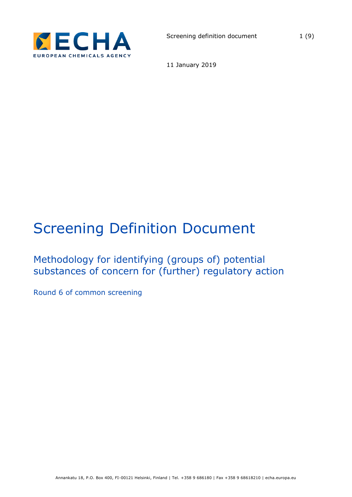

11 January 2019

# Screening Definition Document

# Methodology for identifying (groups of) potential substances of concern for (further) regulatory action

Round 6 of common screening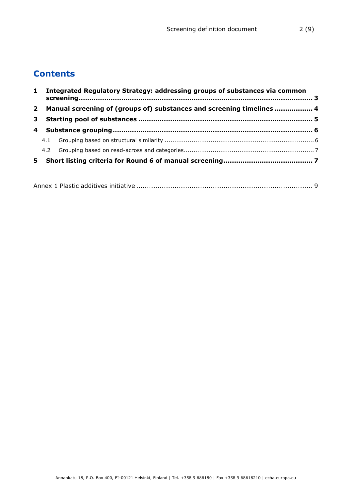# **Contents**

|  | 1 Integrated Regulatory Strategy: addressing groups of substances via common |  |
|--|------------------------------------------------------------------------------|--|
|  | 2 Manual screening of (groups of) substances and screening timelines  4      |  |
|  |                                                                              |  |
|  |                                                                              |  |
|  |                                                                              |  |
|  |                                                                              |  |
|  |                                                                              |  |

|--|--|--|--|--|--|--|--|--|--|--|--|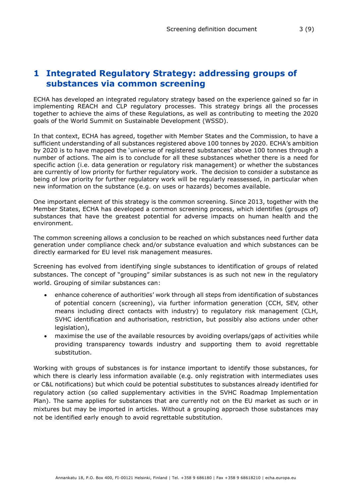## <span id="page-2-0"></span>**1 Integrated Regulatory Strategy: addressing groups of substances via common screening**

ECHA has developed an integrated regulatory strategy based on the experience gained so far in implementing REACH and CLP regulatory processes. This strategy brings all the processes together to achieve the aims of these Regulations, as well as contributing to meeting the 2020 goals of the World Summit on Sustainable Development (WSSD).

In that context, ECHA has agreed, together with Member States and the Commission, to have a sufficient understanding of all substances registered above 100 tonnes by 2020. ECHA's ambition by 2020 is to have mapped the 'universe of registered substances' above 100 tonnes through a number of actions. The aim is to conclude for all these substances whether there is a need for specific action (i.e. data generation or regulatory risk management) or whether the substances are currently of low priority for further regulatory work. The decision to consider a substance as being of low priority for further regulatory work will be regularly reassessed, in particular when new information on the substance (e.g. on uses or hazards) becomes available.

One important element of this strategy is the common screening. Since 2013, together with the Member States, ECHA has developed a common screening process, which identifies (groups of) substances that have the greatest potential for adverse impacts on human health and the environment.

The common screening allows a conclusion to be reached on which substances need further data generation under compliance check and/or substance evaluation and which substances can be directly earmarked for EU level risk management measures.

Screening has evolved from identifying single substances to identification of groups of related substances. The concept of "grouping" similar substances is as such not new in the regulatory world. Grouping of similar substances can:

- enhance coherence of authorities' work through all steps from identification of substances of potential concern (screening), via further information generation (CCH, SEV, other means including direct contacts with industry) to regulatory risk management (CLH, SVHC identification and authorisation, restriction, but possibly also actions under other legislation),
- maximise the use of the available resources by avoiding overlaps/gaps of activities while providing transparency towards industry and supporting them to avoid regrettable substitution.

Working with groups of substances is for instance important to identify those substances, for which there is clearly less information available (e.g. only registration with intermediates uses or C&L notifications) but which could be potential substitutes to substances already identified for regulatory action (so called supplementary activities in the SVHC Roadmap Implementation Plan). The same applies for substances that are currently not on the EU market as such or in mixtures but may be imported in articles. Without a grouping approach those substances may not be identified early enough to avoid regrettable substitution.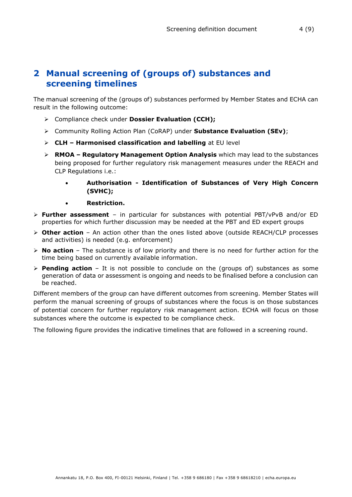# <span id="page-3-0"></span>**2 Manual screening of (groups of) substances and screening timelines**

The manual screening of the (groups of) substances performed by Member States and ECHA can result in the following outcome:

- Compliance check under **Dossier Evaluation (CCH);**
- Community Rolling Action Plan (CoRAP) under **Substance Evaluation (SEv)**;
- **CLH – Harmonised classification and labelling** at EU level
- **RMOA – Regulatory Management Option Analysis** which may lead to the substances being proposed for further regulatory risk management measures under the REACH and CLP Regulations i.e.:
	- **Authorisation - Identification of Substances of Very High Concern (SVHC);**
	- **Restriction.**
- **Further assessment** in particular for substances with potential PBT/vPvB and/or ED properties for which further discussion may be needed at the PBT and ED expert groups
- **Other action** An action other than the ones listed above (outside REACH/CLP processes and activities) is needed (e.g. enforcement)
- **No action** The substance is of low priority and there is no need for further action for the time being based on currently available information.
- **Pending action**  It is not possible to conclude on the (groups of) substances as some generation of data or assessment is ongoing and needs to be finalised before a conclusion can be reached.

Different members of the group can have different outcomes from screening. Member States will perform the manual screening of groups of substances where the focus is on those substances of potential concern for further regulatory risk management action. ECHA will focus on those substances where the outcome is expected to be compliance check.

The following figure provides the indicative timelines that are followed in a screening round.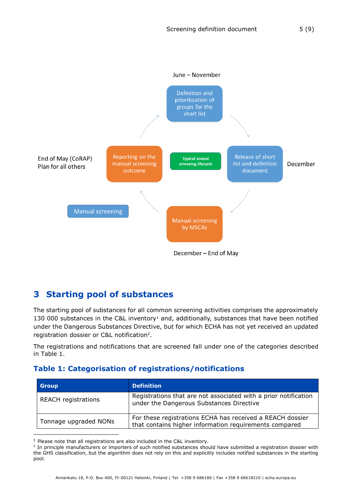

# <span id="page-4-0"></span>**3 Starting pool of substances**

The starting pool of substances for all common screening activities comprises the approximately 130 000 substances in the C&L inventory<sup>1</sup> and, additionally, substances that have been notified under the Dangerous Substances Directive, but for which ECHA has not yet received an updated registration dossier or C&L notification<sup>2</sup>.

The registrations and notifications that are screened fall under one of the categories described in [Table 1.](#page-4-1)

## <span id="page-4-1"></span>**Table 1: Categorisation of registrations/notifications**

| <b>Group</b>               | <b>Definition</b>                                                                                                   |
|----------------------------|---------------------------------------------------------------------------------------------------------------------|
| <b>REACH registrations</b> | Registrations that are not associated with a prior notification<br>under the Dangerous Substances Directive         |
| Tonnage upgraded NONs      | For these registrations ECHA has received a REACH dossier<br>that contains higher information requirements compared |

 $1$  Please note that all registrations are also included in the C&L inventory.

-

<sup>&</sup>lt;sup>2</sup> In principle manufacturers or importers of such notified substances should have submitted a registration dossier with the GHS classification, but the algorithm does not rely on this and explicitly includes notified substances in the starting pool.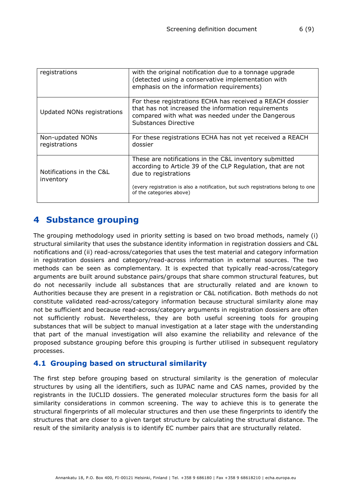| registrations                         | with the original notification due to a tonnage upgrade<br>(detected using a conservative implementation with<br>emphasis on the information requirements)                                                                                                    |
|---------------------------------------|---------------------------------------------------------------------------------------------------------------------------------------------------------------------------------------------------------------------------------------------------------------|
| Updated NONs registrations            | For these registrations ECHA has received a REACH dossier<br>that has not increased the information requirements<br>compared with what was needed under the Dangerous<br>Substances Directive                                                                 |
| Non-updated NONs<br>registrations     | For these registrations ECHA has not yet received a REACH<br>dossier                                                                                                                                                                                          |
| Notifications in the C&L<br>inventory | These are notifications in the C&L inventory submitted<br>according to Article 39 of the CLP Regulation, that are not<br>due to registrations<br>(every registration is also a notification, but such registrations belong to one<br>of the categories above) |
|                                       |                                                                                                                                                                                                                                                               |

# <span id="page-5-0"></span>**4 Substance grouping**

The grouping methodology used in priority setting is based on two broad methods, namely (i) structural similarity that uses the substance identity information in registration dossiers and C&L notifications and (ii) read-across/categories that uses the test material and category information in registration dossiers and category/read-across information in external sources. The two methods can be seen as complementary. It is expected that typically read-across/category arguments are built around substance pairs/groups that share common structural features, but do not necessarily include all substances that are structurally related and are known to Authorities because they are present in a registration or C&L notification. Both methods do not constitute validated read-across/category information because structural similarity alone may not be sufficient and because read-across/category arguments in registration dossiers are often not sufficiently robust. Nevertheless, they are both useful screening tools for grouping substances that will be subject to manual investigation at a later stage with the understanding that part of the manual investigation will also examine the reliability and relevance of the proposed substance grouping before this grouping is further utilised in subsequent regulatory processes.

## <span id="page-5-1"></span>**4.1 Grouping based on structural similarity**

The first step before grouping based on structural similarity is the generation of molecular structures by using all the identifiers, such as IUPAC name and CAS names, provided by the registrants in the IUCLID dossiers. The generated molecular structures form the basis for all similarity considerations in common screening. The way to achieve this is to generate the structural fingerprints of all molecular structures and then use these fingerprints to identify the structures that are closer to a given target structure by calculating the structural distance. The result of the similarity analysis is to identify EC number pairs that are structurally related.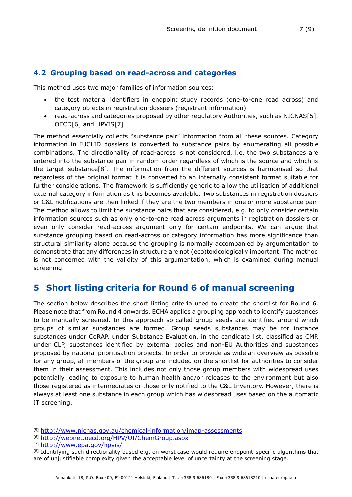## <span id="page-6-0"></span>**4.2 Grouping based on read-across and categories**

This method uses two major families of information sources:

- the test material identifiers in endpoint study records (one-to-one read across) and category objects in registration dossiers (registrant information)
- read-across and categories proposed by other regulatory Authorities, such as NICNAS[5], OECD[6] and HPVIS[7]

The method essentially collects "substance pair" information from all these sources. Category information in IUCLID dossiers is converted to substance pairs by enumerating all possible combinations. The directionality of read-across is not considered, i.e. the two substances are entered into the substance pair in random order regardless of which is the source and which is the target substance[8]. The information from the different sources is harmonised so that regardless of the original format it is converted to an internally consistent format suitable for further considerations. The framework is sufficiently generic to allow the utilisation of additional external category information as this becomes available. Two substances in registration dossiers or C&L notifications are then linked if they are the two members in one or more substance pair. The method allows to limit the substance pairs that are considered, e.g. to only consider certain information sources such as only one-to-one read across arguments in registration dossiers or even only consider read-across argument only for certain endpoints. We can argue that substance grouping based on read-across or category information has more significance than structural similarity alone because the grouping is normally accompanied by argumentation to demonstrate that any differences in structure are not (eco)toxicologically important. The method is not concerned with the validity of this argumentation, which is examined during manual screening.

## <span id="page-6-1"></span>**5 Short listing criteria for Round 6 of manual screening**

The section below describes the short listing criteria used to create the shortlist for Round 6. Please note that from Round 4 onwards, ECHA applies a grouping approach to identify substances to be manually screened. In this approach so called group seeds are identified around which groups of similar substances are formed. Group seeds substances may be for instance substances under CoRAP, under Substance Evaluation, in the candidate list, classified as CMR under CLP, substances identified by external bodies and non-EU Authorities and substances proposed by national prioritisation projects. In order to provide as wide an overview as possible for any group, all members of the group are included on the shortlist for authorities to consider them in their assessment. This includes not only those group members with widespread uses potentially leading to exposure to human health and/or releases to the environment but also those registered as intermediates or those only notified to the C&L Inventory. However, there is always at least one substance in each group which has widespread uses based on the automatic IT screening.

-

<sup>[5]</sup> <http://www.nicnas.gov.au/chemical-information/imap-assessments>

<sup>[6]</sup> <http://webnet.oecd.org/HPV/UI/ChemGroup.aspx>

<sup>[7]</sup> <http://www.epa.gov/hpvis/>

<sup>&</sup>lt;sup>[8]</sup> Identifying such directionality based e.g. on worst case would require endpoint-specific algorithms that are of unjustifiable complexity given the acceptable level of uncertainty at the screening stage.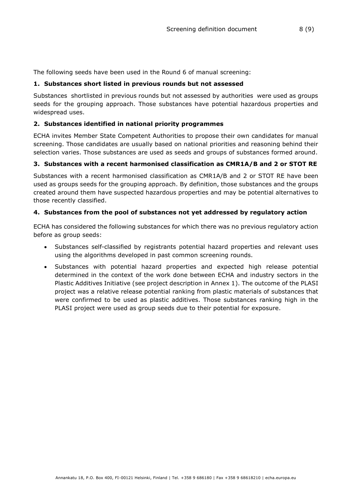The following seeds have been used in the Round 6 of manual screening:

### **1. Substances short listed in previous rounds but not assessed**

Substances shortlisted in previous rounds but not assessed by authorities were used as groups seeds for the grouping approach. Those substances have potential hazardous properties and widespread uses.

## **2. Substances identified in national priority programmes**

ECHA invites Member State Competent Authorities to propose their own candidates for manual screening. Those candidates are usually based on national priorities and reasoning behind their selection varies. Those substances are used as seeds and groups of substances formed around.

### **3. Substances with a recent harmonised classification as CMR1A/B and 2 or STOT RE**

Substances with a recent harmonised classification as CMR1A/B and 2 or STOT RE have been used as groups seeds for the grouping approach. By definition, those substances and the groups created around them have suspected hazardous properties and may be potential alternatives to those recently classified.

### **4. Substances from the pool of substances not yet addressed by regulatory action**

ECHA has considered the following substances for which there was no previous regulatory action before as group seeds:

- Substances self-classified by registrants potential hazard properties and relevant uses using the algorithms developed in past common screening rounds.
- Substances with potential hazard properties and expected high release potential determined in the context of the work done between ECHA and industry sectors in the Plastic Additives Initiative (see project description in Annex 1). The outcome of the PLASI project was a relative release potential ranking from plastic materials of substances that were confirmed to be used as plastic additives. Those substances ranking high in the PLASI project were used as group seeds due to their potential for exposure.